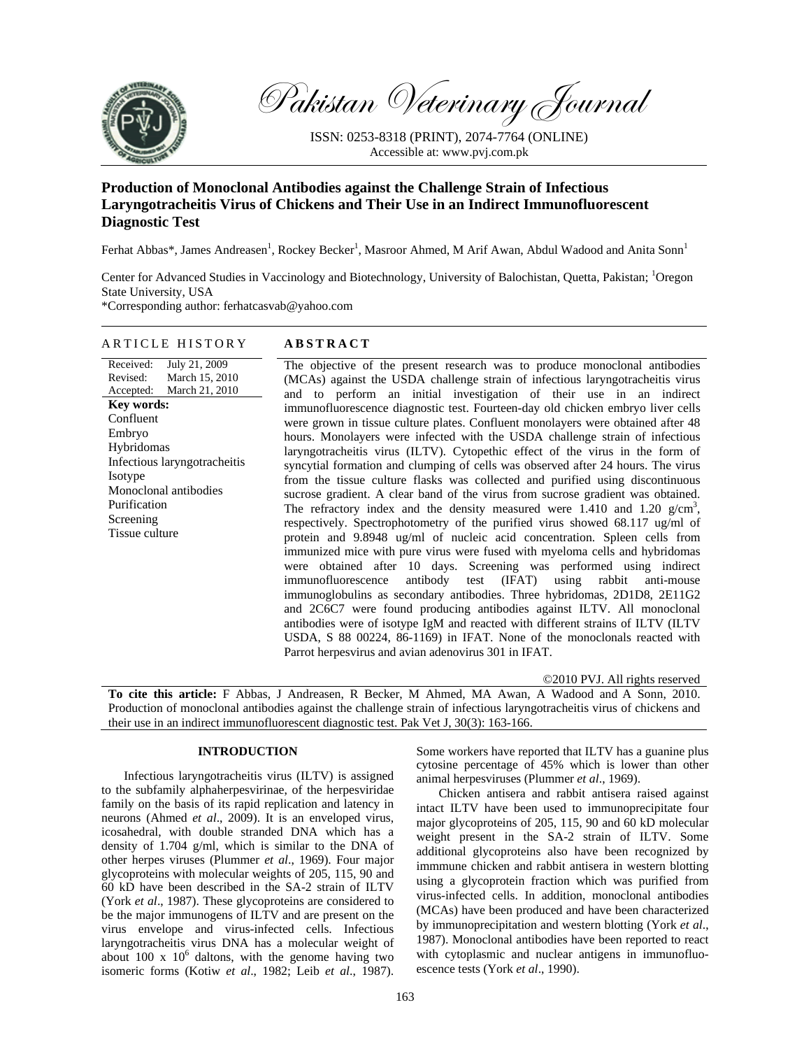

Pakistan Veterinary Journal

ISSN: 0253-8318 (PRINT), 2074-7764 (ONLINE) Accessible at: www.pvj.com.pk

## **Production of Monoclonal Antibodies against the Challenge Strain of Infectious Laryngotracheitis Virus of Chickens and Their Use in an Indirect Immunofluorescent Diagnostic Test**

Ferhat Abbas\*, James Andreasen<sup>1</sup>, Rockey Becker<sup>1</sup>, Masroor Ahmed, M Arif Awan, Abdul Wadood and Anita Sonn<sup>1</sup>

Center for Advanced Studies in Vaccinology and Biotechnology, University of Balochistan, Quetta, Pakistan; <sup>1</sup>Oregon State University, USA \*Corresponding author: ferhatcasvab@yahoo.com

# ARTICLE HISTORY **ABSTRACT**

Received: Revised: Accepted: July 21, 2009 March 15, 2010 March 21, 2010 **Key words:**  Confluent Embryo Hybridomas Infectious laryngotracheitis **Isotype** Monoclonal antibodies Purification Screening Tissue culture

The objective of the present research was to produce monoclonal antibodies (MCAs) against the USDA challenge strain of infectious laryngotracheitis virus and to perform an initial investigation of their use in an indirect immunofluorescence diagnostic test. Fourteen-day old chicken embryo liver cells were grown in tissue culture plates. Confluent monolayers were obtained after 48 hours. Monolayers were infected with the USDA challenge strain of infectious laryngotracheitis virus (ILTV). Cytopethic effect of the virus in the form of syncytial formation and clumping of cells was observed after 24 hours. The virus from the tissue culture flasks was collected and purified using discontinuous sucrose gradient. A clear band of the virus from sucrose gradient was obtained. The refractory index and the density measured were  $1.410$  and  $1.20$  g/cm<sup>3</sup>, respectively. Spectrophotometry of the purified virus showed 68.117 ug/ml of protein and 9.8948 ug/ml of nucleic acid concentration. Spleen cells from immunized mice with pure virus were fused with myeloma cells and hybridomas were obtained after 10 days. Screening was performed using indirect immunofluorescence antibody test (IFAT) using rabbit anti-mouse immunoglobulins as secondary antibodies. Three hybridomas, 2D1D8, 2E11G2 and 2C6C7 were found producing antibodies against ILTV. All monoclonal antibodies were of isotype IgM and reacted with different strains of ILTV (ILTV USDA, S 88 00224, 86-1169) in IFAT. None of the monoclonals reacted with Parrot herpesvirus and avian adenovirus 301 in IFAT.

©2010 PVJ. All rights reserved

**To cite this article:** F Abbas, J Andreasen, R Becker, M Ahmed, MA Awan, A Wadood and A Sonn, 2010. Production of monoclonal antibodies against the challenge strain of infectious laryngotracheitis virus of chickens and their use in an indirect immunofluorescent diagnostic test. Pak Vet J, 30(3): 163-166.

## **INTRODUCTION**

Infectious laryngotracheitis virus (ILTV) is assigned to the subfamily alphaherpesvirinae, of the herpesviridae family on the basis of its rapid replication and latency in neurons (Ahmed *et al*., 2009). It is an enveloped virus, icosahedral, with double stranded DNA which has a density of 1.704 g/ml, which is similar to the DNA of other herpes viruses (Plummer *et al*., 1969). Four major glycoproteins with molecular weights of 205, 115, 90 and 60 kD have been described in the SA-2 strain of ILTV (York *et al*., 1987). These glycoproteins are considered to be the major immunogens of ILTV and are present on the virus envelope and virus-infected cells. Infectious laryngotracheitis virus DNA has a molecular weight of about 100 x  $10^6$  daltons, with the genome having two isomeric forms (Kotiw *et al*., 1982; Leib *et al*., 1987).

Some workers have reported that ILTV has a guanine plus cytosine percentage of 45% which is lower than other animal herpesviruses (Plummer *et al*., 1969).

Chicken antisera and rabbit antisera raised against intact ILTV have been used to immunoprecipitate four major glycoproteins of 205, 115, 90 and 60 kD molecular weight present in the SA-2 strain of ILTV. Some additional glycoproteins also have been recognized by immmune chicken and rabbit antisera in western blotting using a glycoprotein fraction which was purified from virus-infected cells. In addition, monoclonal antibodies (MCAs) have been produced and have been characterized by immunoprecipitation and western blotting (York *et al*., 1987). Monoclonal antibodies have been reported to react with cytoplasmic and nuclear antigens in immunofluoescence tests (York *et al*., 1990).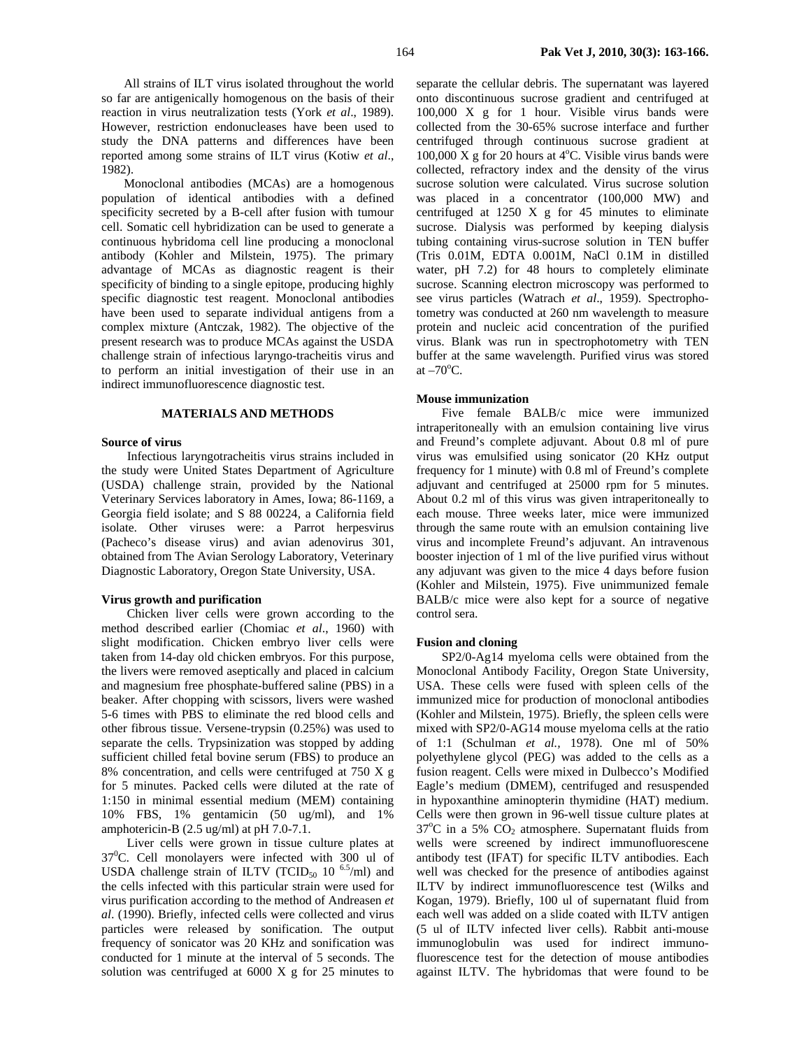All strains of ILT virus isolated throughout the world so far are antigenically homogenous on the basis of their reaction in virus neutralization tests (York *et al*., 1989). However, restriction endonucleases have been used to study the DNA patterns and differences have been reported among some strains of ILT virus (Kotiw *et al*., 1982).

Monoclonal antibodies (MCAs) are a homogenous population of identical antibodies with a defined specificity secreted by a B-cell after fusion with tumour cell. Somatic cell hybridization can be used to generate a continuous hybridoma cell line producing a monoclonal antibody (Kohler and Milstein, 1975). The primary advantage of MCAs as diagnostic reagent is their specificity of binding to a single epitope, producing highly specific diagnostic test reagent. Monoclonal antibodies have been used to separate individual antigens from a complex mixture (Antczak, 1982). The objective of the present research was to produce MCAs against the USDA challenge strain of infectious laryngo-tracheitis virus and to perform an initial investigation of their use in an indirect immunofluorescence diagnostic test.

## **MATERIALS AND METHODS**

## **Source of virus**

 Infectious laryngotracheitis virus strains included in the study were United States Department of Agriculture (USDA) challenge strain, provided by the National Veterinary Services laboratory in Ames, Iowa; 86-1169, a Georgia field isolate; and S 88 00224, a California field isolate. Other viruses were: a Parrot herpesvirus (Pacheco's disease virus) and avian adenovirus 301, obtained from The Avian Serology Laboratory, Veterinary Diagnostic Laboratory, Oregon State University, USA.

## **Virus growth and purification**

Chicken liver cells were grown according to the method described earlier (Chomiac *et al*., 1960) with slight modification. Chicken embryo liver cells were taken from 14-day old chicken embryos. For this purpose, the livers were removed aseptically and placed in calcium and magnesium free phosphate-buffered saline (PBS) in a beaker. After chopping with scissors, livers were washed 5-6 times with PBS to eliminate the red blood cells and other fibrous tissue. Versene-trypsin (0.25%) was used to separate the cells. Trypsinization was stopped by adding sufficient chilled fetal bovine serum (FBS) to produce an 8% concentration, and cells were centrifuged at 750 X g for 5 minutes. Packed cells were diluted at the rate of 1:150 in minimal essential medium (MEM) containing 10% FBS, 1% gentamicin (50 ug/ml), and 1% amphotericin-B (2.5 ug/ml) at pH 7.0-7.1.

Liver cells were grown in tissue culture plates at 37<sup>0</sup>C. Cell monolayers were infected with 300 ul of USDA challenge strain of ILTV (TCID<sub>50</sub> 10<sup>6.5</sup>/ml) and the cells infected with this particular strain were used for virus purification according to the method of Andreasen *et al*. (1990). Briefly, infected cells were collected and virus particles were released by sonification. The output frequency of sonicator was 20 KHz and sonification was conducted for 1 minute at the interval of 5 seconds. The solution was centrifuged at 6000 X g for 25 minutes to

separate the cellular debris. The supernatant was layered onto discontinuous sucrose gradient and centrifuged at 100,000 X g for 1 hour. Visible virus bands were collected from the 30-65% sucrose interface and further centrifuged through continuous sucrose gradient at  $100,000$  X g for 20 hours at 4°C. Visible virus bands were collected, refractory index and the density of the virus sucrose solution were calculated. Virus sucrose solution was placed in a concentrator (100,000 MW) and centrifuged at 1250 X g for 45 minutes to eliminate sucrose. Dialysis was performed by keeping dialysis tubing containing virus-sucrose solution in TEN buffer (Tris 0.01M, EDTA 0.001M, NaCl 0.1M in distilled water, pH 7.2) for 48 hours to completely eliminate sucrose. Scanning electron microscopy was performed to see virus particles (Watrach *et al*., 1959). Spectrophotometry was conducted at 260 nm wavelength to measure protein and nucleic acid concentration of the purified virus. Blank was run in spectrophotometry with TEN buffer at the same wavelength. Purified virus was stored at  $-70^{\circ}$ C.

### **Mouse immunization**

Five female BALB/c mice were immunized intraperitoneally with an emulsion containing live virus and Freund's complete adjuvant. About 0.8 ml of pure virus was emulsified using sonicator (20 KHz output frequency for 1 minute) with 0.8 ml of Freund's complete adjuvant and centrifuged at 25000 rpm for 5 minutes. About 0.2 ml of this virus was given intraperitoneally to each mouse. Three weeks later, mice were immunized through the same route with an emulsion containing live virus and incomplete Freund's adjuvant. An intravenous booster injection of 1 ml of the live purified virus without any adjuvant was given to the mice 4 days before fusion (Kohler and Milstein, 1975). Five unimmunized female BALB/c mice were also kept for a source of negative control sera.

#### **Fusion and cloning**

SP2/0-Ag14 myeloma cells were obtained from the Monoclonal Antibody Facility, Oregon State University, USA. These cells were fused with spleen cells of the immunized mice for production of monoclonal antibodies (Kohler and Milstein, 1975). Briefly, the spleen cells were mixed with SP2/0-AG14 mouse myeloma cells at the ratio of 1:1 (Schulman *et al.,* 1978). One ml of 50% polyethylene glycol (PEG) was added to the cells as a fusion reagent. Cells were mixed in Dulbecco's Modified Eagle's medium (DMEM), centrifuged and resuspended in hypoxanthine aminopterin thymidine (HAT) medium. Cells were then grown in 96-well tissue culture plates at 37°C in a 5%  $CO<sub>2</sub>$  atmosphere. Supernatant fluids from wells were screened by indirect immunofluorescene antibody test (IFAT) for specific ILTV antibodies. Each well was checked for the presence of antibodies against ILTV by indirect immunofluorescence test (Wilks and Kogan, 1979). Briefly, 100 ul of supernatant fluid from each well was added on a slide coated with ILTV antigen (5 ul of ILTV infected liver cells). Rabbit anti-mouse immunoglobulin was used for indirect immunofluorescence test for the detection of mouse antibodies against ILTV. The hybridomas that were found to be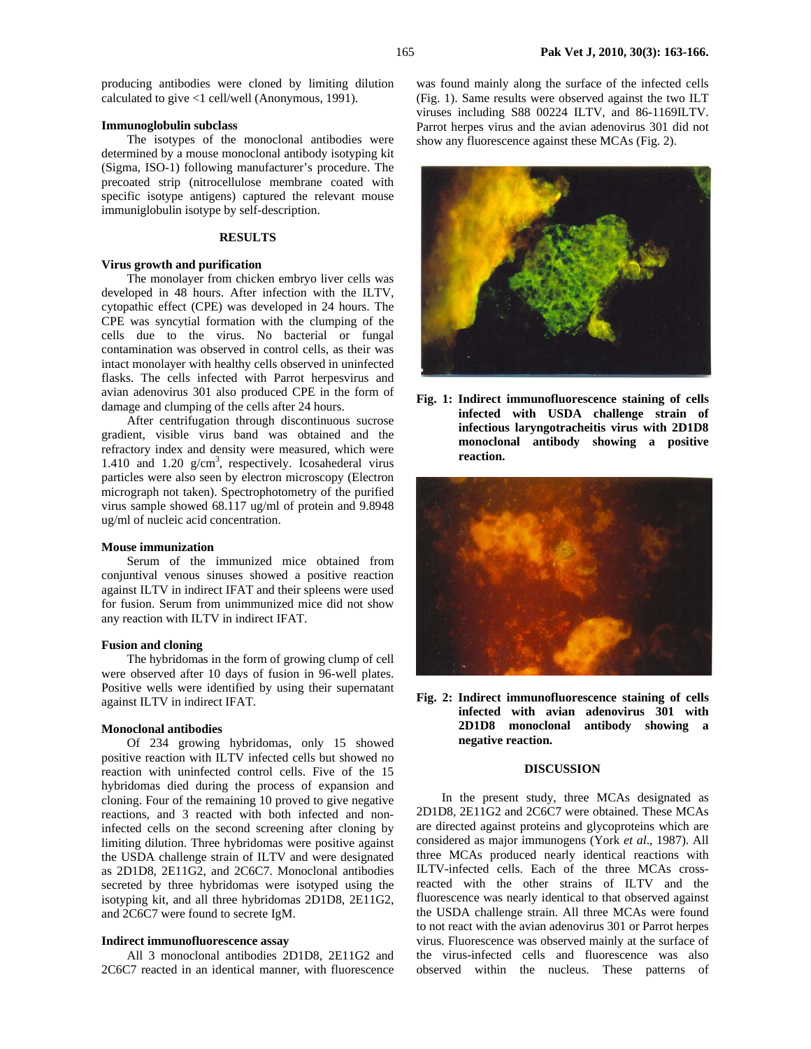producing antibodies were cloned by limiting dilution calculated to give <1 cell/well (Anonymous, 1991).

#### **Immunoglobulin subclass**

The isotypes of the monoclonal antibodies were determined by a mouse monoclonal antibody isotyping kit (Sigma, ISO-1) following manufacturer's procedure. The precoated strip (nitrocellulose membrane coated with specific isotype antigens) captured the relevant mouse immuniglobulin isotype by self-description.

#### **RESULTS**

## **Virus growth and purification**

The monolayer from chicken embryo liver cells was developed in 48 hours. After infection with the ILTV, cytopathic effect (CPE) was developed in 24 hours. The CPE was syncytial formation with the clumping of the cells due to the virus. No bacterial or fungal contamination was observed in control cells, as their was intact monolayer with healthy cells observed in uninfected flasks. The cells infected with Parrot herpesvirus and avian adenovirus 301 also produced CPE in the form of damage and clumping of the cells after 24 hours.

After centrifugation through discontinuous sucrose gradient, visible virus band was obtained and the refractory index and density were measured, which were 1.410 and 1.20 g/cm<sup>3</sup>, respectively. Icosahederal virus particles were also seen by electron microscopy (Electron micrograph not taken). Spectrophotometry of the purified virus sample showed 68.117 ug/ml of protein and 9.8948 ug/ml of nucleic acid concentration.

#### **Mouse immunization**

Serum of the immunized mice obtained from conjuntival venous sinuses showed a positive reaction against ILTV in indirect IFAT and their spleens were used for fusion. Serum from unimmunized mice did not show any reaction with ILTV in indirect IFAT.

#### **Fusion and cloning**

The hybridomas in the form of growing clump of cell were observed after 10 days of fusion in 96-well plates. Positive wells were identified by using their supernatant against ILTV in indirect IFAT.

#### **Monoclonal antibodies**

Of 234 growing hybridomas, only 15 showed positive reaction with ILTV infected cells but showed no reaction with uninfected control cells. Five of the 15 hybridomas died during the process of expansion and cloning. Four of the remaining 10 proved to give negative reactions, and 3 reacted with both infected and noninfected cells on the second screening after cloning by limiting dilution. Three hybridomas were positive against the USDA challenge strain of ILTV and were designated as 2D1D8, 2E11G2, and 2C6C7. Monoclonal antibodies secreted by three hybridomas were isotyped using the isotyping kit, and all three hybridomas 2D1D8, 2E11G2, and 2C6C7 were found to secrete IgM.

## **Indirect immunofluorescence assay**

All 3 monoclonal antibodies 2D1D8, 2E11G2 and 2C6C7 reacted in an identical manner, with fluorescence

was found mainly along the surface of the infected cells (Fig. 1). Same results were observed against the two ILT viruses including S88 00224 ILTV, and 86-1169ILTV. Parrot herpes virus and the avian adenovirus 301 did not show any fluorescence against these MCAs (Fig. 2).



**Fig. 1: Indirect immunofluorescence staining of cells infected with USDA challenge strain of infectious laryngotracheitis virus with 2D1D8 monoclonal antibody showing a positive reaction.** 



**Fig. 2: Indirect immunofluorescence staining of cells infected with avian adenovirus 301 with 2D1D8 monoclonal antibody showing a negative reaction.** 

## **DISCUSSION**

In the present study, three MCAs designated as 2D1D8, 2E11G2 and 2C6C7 were obtained. These MCAs are directed against proteins and glycoproteins which are considered as major immunogens (York *et al*., 1987). All three MCAs produced nearly identical reactions with ILTV-infected cells. Each of the three MCAs crossreacted with the other strains of ILTV and the fluorescence was nearly identical to that observed against the USDA challenge strain. All three MCAs were found to not react with the avian adenovirus 301 or Parrot herpes virus. Fluorescence was observed mainly at the surface of the virus-infected cells and fluorescence was also observed within the nucleus. These patterns of